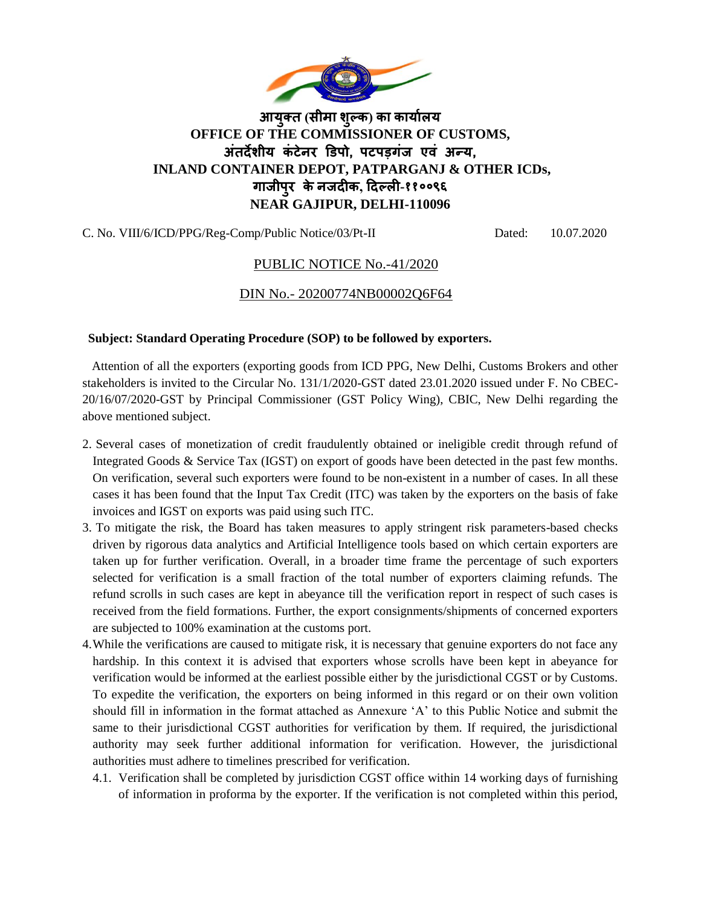

# **आयुक्त (सीमा शुल्क) का कायाालय OFFICE OF THE COMMISSIONER OF CUSTOMS, अतं र्देशीय कं टेनर डिपो, पटपड़गंज एवं अन्य, INLAND CONTAINER DEPOT, PATPARGANJ & OTHER ICDs, गाजीपुर केनजर्दीक, दर्दल्ली-११००९६ NEAR GAJIPUR, DELHI-110096**

C. No. VIII/6/ICD/PPG/Reg-Comp/Public Notice/03/Pt-II Dated: 10.07.2020

## PUBLIC NOTICE No.-41/2020

### DIN No.- 20200774NB00002Q6F64

#### **Subject: Standard Operating Procedure (SOP) to be followed by exporters.**

 Attention of all the exporters (exporting goods from ICD PPG, New Delhi, Customs Brokers and other stakeholders is invited to the Circular No. 131/1/2020-GST dated 23.01.2020 issued under F. No CBEC-20/16/07/2020-GST by Principal Commissioner (GST Policy Wing), CBIC, New Delhi regarding the above mentioned subject.

- 2. Several cases of monetization of credit fraudulently obtained or ineligible credit through refund of Integrated Goods & Service Tax (IGST) on export of goods have been detected in the past few months. On verification, several such exporters were found to be non-existent in a number of cases. In all these cases it has been found that the Input Tax Credit (ITC) was taken by the exporters on the basis of fake invoices and IGST on exports was paid using such ITC.
- 3. To mitigate the risk, the Board has taken measures to apply stringent risk parameters-based checks driven by rigorous data analytics and Artificial Intelligence tools based on which certain exporters are taken up for further verification. Overall, in a broader time frame the percentage of such exporters selected for verification is a small fraction of the total number of exporters claiming refunds. The refund scrolls in such cases are kept in abeyance till the verification report in respect of such cases is received from the field formations. Further, the export consignments/shipments of concerned exporters are subjected to 100% examination at the customs port.
- 4.While the verifications are caused to mitigate risk, it is necessary that genuine exporters do not face any hardship. In this context it is advised that exporters whose scrolls have been kept in abeyance for verification would be informed at the earliest possible either by the jurisdictional CGST or by Customs. To expedite the verification, the exporters on being informed in this regard or on their own volition should fill in information in the format attached as Annexure 'A' to this Public Notice and submit the same to their jurisdictional CGST authorities for verification by them. If required, the jurisdictional authority may seek further additional information for verification. However, the jurisdictional authorities must adhere to timelines prescribed for verification.
	- 4.1. Verification shall be completed by jurisdiction CGST office within 14 working days of furnishing of information in proforma by the exporter. If the verification is not completed within this period,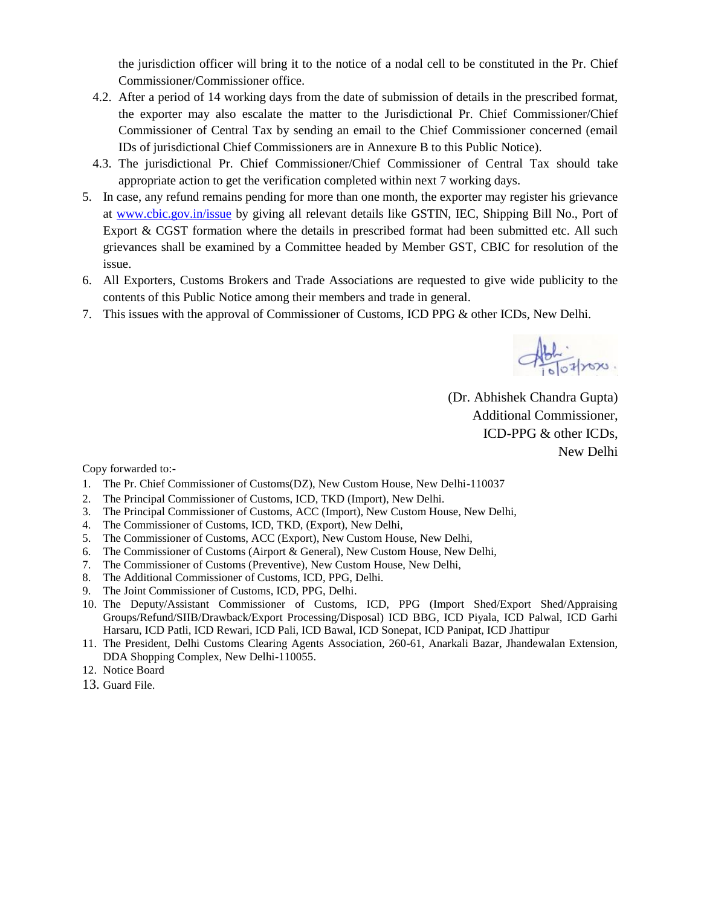the jurisdiction officer will bring it to the notice of a nodal cell to be constituted in the Pr. Chief Commissioner/Commissioner office.

- 4.2. After a period of 14 working days from the date of submission of details in the prescribed format, the exporter may also escalate the matter to the Jurisdictional Pr. Chief Commissioner/Chief Commissioner of Central Tax by sending an email to the Chief Commissioner concerned (email IDs of jurisdictional Chief Commissioners are in Annexure B to this Public Notice).
- 4.3. The jurisdictional Pr. Chief Commissioner/Chief Commissioner of Central Tax should take appropriate action to get the verification completed within next 7 working days.
- 5. In case, any refund remains pending for more than one month, the exporter may register his grievance at [www.cbic.gov.in/issue](http://www.cbic.gov.in/issue) by giving all relevant details like GSTIN, IEC, Shipping Bill No., Port of Export & CGST formation where the details in prescribed format had been submitted etc. All such grievances shall be examined by a Committee headed by Member GST, CBIC for resolution of the issue.
- 6. All Exporters, Customs Brokers and Trade Associations are requested to give wide publicity to the contents of this Public Notice among their members and trade in general.
- 7. This issues with the approval of Commissioner of Customs, ICD PPG & other ICDs, New Delhi.

 $\frac{1}{\sqrt{\frac{1}{100}}}$ 

(Dr. Abhishek Chandra Gupta) Additional Commissioner, ICD-PPG & other ICDs, New Delhi

Copy forwarded to:-

- 1. The Pr. Chief Commissioner of Customs(DZ), New Custom House, New Delhi-110037
- 2. The Principal Commissioner of Customs, ICD, TKD (Import), New Delhi.
- 3. The Principal Commissioner of Customs, ACC (Import), New Custom House, New Delhi,
- 4. The Commissioner of Customs, ICD, TKD, (Export), New Delhi,
- 5. The Commissioner of Customs, ACC (Export), New Custom House, New Delhi,
- 6. The Commissioner of Customs (Airport & General), New Custom House, New Delhi,
- 7. The Commissioner of Customs (Preventive), New Custom House, New Delhi,
- 8. The Additional Commissioner of Customs, ICD, PPG, Delhi.
- 9. The Joint Commissioner of Customs, ICD, PPG, Delhi.
- 10. The Deputy/Assistant Commissioner of Customs, ICD, PPG (Import Shed/Export Shed/Appraising Groups/Refund/SIIB/Drawback/Export Processing/Disposal) ICD BBG, ICD Piyala, ICD Palwal, ICD Garhi Harsaru, ICD Patli, ICD Rewari, ICD Pali, ICD Bawal, ICD Sonepat, ICD Panipat, ICD Jhattipur
- 11. The President, Delhi Customs Clearing Agents Association, 260-61, Anarkali Bazar, Jhandewalan Extension, DDA Shopping Complex, New Delhi-110055.
- 12. Notice Board
- 13. Guard File.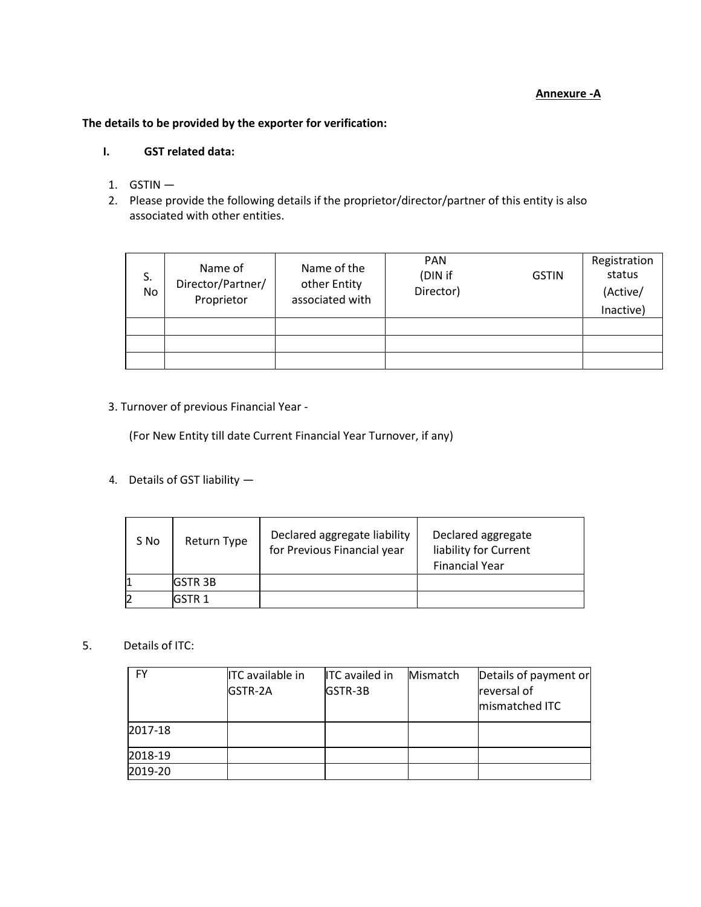#### **Annexure -A**

### **The details to be provided by the exporter for verification:**

### **I. GST related data:**

- 1. GSTIN —
- 2. Please provide the following details if the proprietor/director/partner of this entity is also associated with other entities.

| S.<br>No | Name of<br>Director/Partner/<br>Proprietor | Name of the<br>other Entity<br>associated with | <b>PAN</b><br>(DIN if<br>Director) | <b>GSTIN</b> | Registration<br>status<br>(Active/<br>Inactive) |
|----------|--------------------------------------------|------------------------------------------------|------------------------------------|--------------|-------------------------------------------------|
|          |                                            |                                                |                                    |              |                                                 |
|          |                                            |                                                |                                    |              |                                                 |
|          |                                            |                                                |                                    |              |                                                 |

#### 3. Turnover of previous Financial Year -

(For New Entity till date Current Financial Year Turnover, if any)

4. Details of GST liability —

| S No | Return Type    | Declared aggregate liability<br>for Previous Financial year | Declared aggregate<br>liability for Current<br><b>Financial Year</b> |
|------|----------------|-------------------------------------------------------------|----------------------------------------------------------------------|
|      | <b>IGSTR3B</b> |                                                             |                                                                      |
|      | GSTR 1         |                                                             |                                                                      |

5. Details of ITC:

| <b>FY</b> | <b>ITC</b> available in<br>GSTR-2A | <b>ITC</b> availed in<br>GSTR-3B | Mismatch | Details of payment or<br>reversal of<br>mismatched ITC |
|-----------|------------------------------------|----------------------------------|----------|--------------------------------------------------------|
| 2017-18   |                                    |                                  |          |                                                        |
| 2018-19   |                                    |                                  |          |                                                        |
| 2019-20   |                                    |                                  |          |                                                        |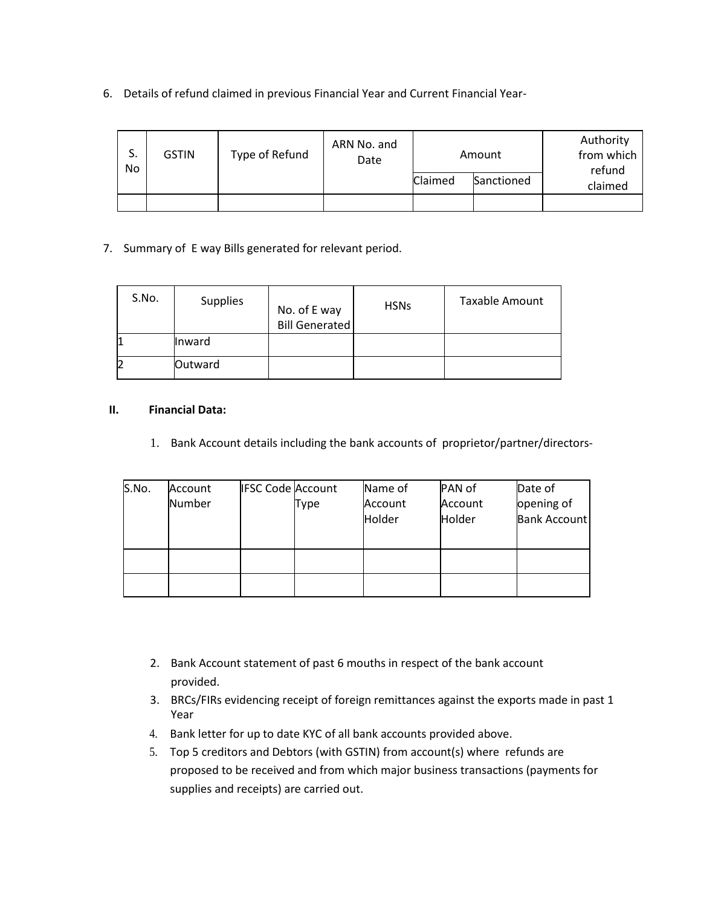6. Details of refund claimed in previous Financial Year and Current Financial Year-

| S.<br>No | <b>GSTIN</b> | Type of Refund | ARN No. and<br>Date | Amount  |            | Authority<br>from which<br>refund |
|----------|--------------|----------------|---------------------|---------|------------|-----------------------------------|
|          |              |                |                     | Claimed | Sanctioned | claimed                           |
|          |              |                |                     |         |            |                                   |

### 7. Summary of E way Bills generated for relevant period.

| S.No. | <b>Supplies</b> | No. of E way<br><b>Bill Generated</b> | <b>HSNs</b> | <b>Taxable Amount</b> |
|-------|-----------------|---------------------------------------|-------------|-----------------------|
|       | <b>Inward</b>   |                                       |             |                       |
|       | Outward         |                                       |             |                       |

#### **II. Financial Data:**

1. Bank Account details including the bank accounts of proprietor/partner/directors-

| S.No. | Account | <b>IFSC Code Account</b> |             | Name of | PAN of  | Date of             |
|-------|---------|--------------------------|-------------|---------|---------|---------------------|
|       | Number  |                          | <b>Type</b> | Account | Account | opening of          |
|       |         |                          |             | Holder  | Holder  | <b>Bank Account</b> |
|       |         |                          |             |         |         |                     |
|       |         |                          |             |         |         |                     |
|       |         |                          |             |         |         |                     |

- 2. Bank Account statement of past 6 mouths in respect of the bank account provided.
- 3. BRCs/FIRs evidencing receipt of foreign remittances against the exports made in past 1 Year
- 4. Bank letter for up to date KYC of all bank accounts provided above.
- 5. Top 5 creditors and Debtors (with GSTIN) from account(s) where refunds are proposed to be received and from which major business transactions (payments for supplies and receipts) are carried out.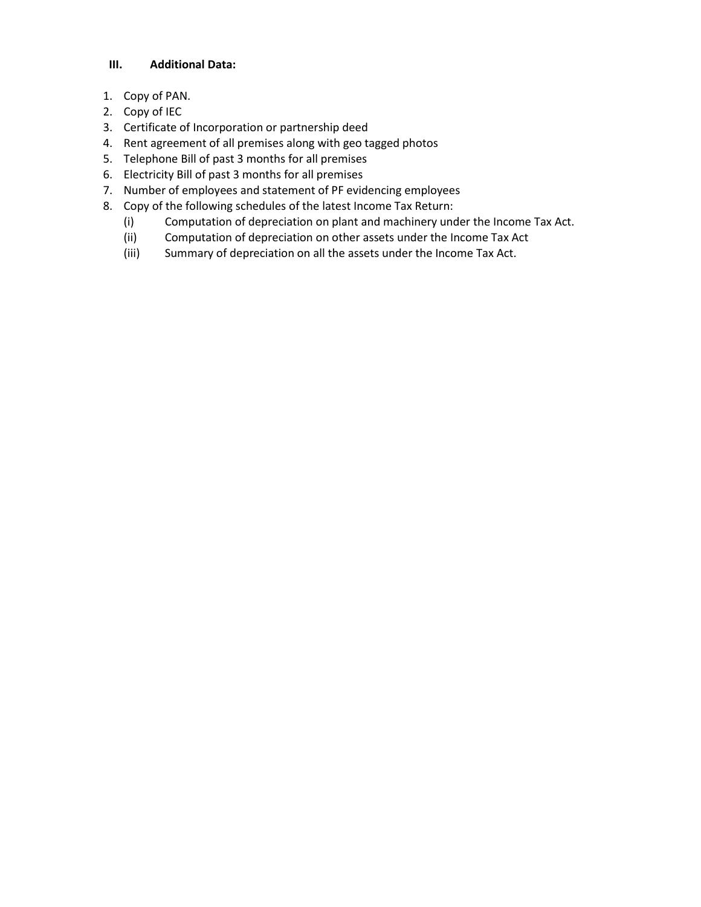#### **III. Additional Data:**

- 1. Copy of PAN.
- 2. Copy of IEC
- 3. Certificate of Incorporation or partnership deed
- 4. Rent agreement of all premises along with geo tagged photos
- 5. Telephone Bill of past 3 months for all premises
- 6. Electricity Bill of past 3 months for all premises
- 7. Number of employees and statement of PF evidencing employees
- 8. Copy of the following schedules of the latest Income Tax Return:
	- (i) Computation of depreciation on plant and machinery under the Income Tax Act.
	- (ii) Computation of depreciation on other assets under the Income Tax Act
	- (iii) Summary of depreciation on all the assets under the Income Tax Act.